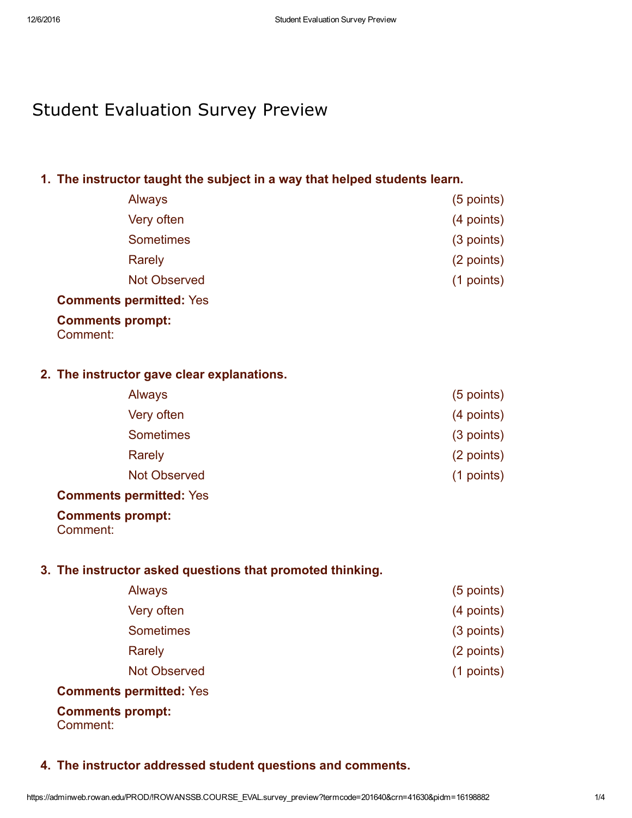# Student Evaluation Survey Preview

# 1. The instructor taught the subject in a way that helped students learn.

| Always              | $(5$ points) |
|---------------------|--------------|
| Very often          | (4 points)   |
| <b>Sometimes</b>    | $(3$ points) |
| <b>Rarely</b>       | (2 points)   |
| <b>Not Observed</b> | $(1$ points) |
|                     |              |

#### Comments permitted: Yes

# Comments prompt:

Comment:

## 2. The instructor gave clear explanations.

| Always              | (5 points) |
|---------------------|------------|
| Very often          | (4 points) |
| <b>Sometimes</b>    | (3 points) |
| Rarely              | (2 points) |
| <b>Not Observed</b> | (1 points) |
|                     |            |

#### Comments permitted: Yes

#### Comments prompt:

Comment:

## 3. The instructor asked questions that promoted thinking.

| <b>Always</b>                  | $(5$ points) |
|--------------------------------|--------------|
| Very often                     | (4 points)   |
| <b>Sometimes</b>               | $(3$ points) |
| Rarely                         | (2 points)   |
| <b>Not Observed</b>            | $(1$ points) |
| <b>Comments permitted: Yes</b> |              |

# Comments prompt:

Comment:

## 4. The instructor addressed student questions and comments.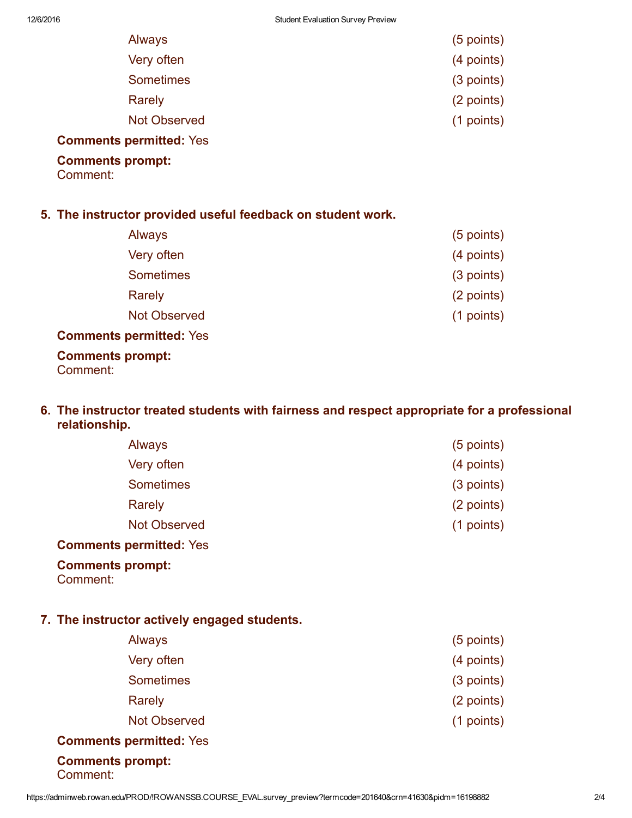| Always                         | (5 points) |
|--------------------------------|------------|
| Very often                     | (4 points) |
| <b>Sometimes</b>               | (3 points) |
| Rarely                         | (2 points) |
| <b>Not Observed</b>            | (1 points) |
| <b>Comments permitted: Yes</b> |            |

### Comments prompt:

Comment:

### 5. The instructor provided useful feedback on student work.

| Always              | $(5$ points) |
|---------------------|--------------|
| Very often          | (4 points)   |
| <b>Sometimes</b>    | $(3$ points) |
| Rarely              | (2 points)   |
| <b>Not Observed</b> | $(1$ points) |
|                     |              |

### Comments permitted: Yes

#### Comments prompt: Comment:

## 6. The instructor treated students with fairness and respect appropriate for a professional relationship.

| <b>Always</b>                  | $(5$ points) |
|--------------------------------|--------------|
| Very often                     | (4 points)   |
| <b>Sometimes</b>               | (3 points)   |
| Rarely                         | (2 points)   |
| <b>Not Observed</b>            | $(1$ points) |
| <b>Comments permitted: Yes</b> |              |

### Comments prompt:

Comment:

## 7. The instructor actively engaged students.

| <b>Always</b>       | $(5$ points) |
|---------------------|--------------|
| Very often          | (4 points)   |
| <b>Sometimes</b>    | (3 points)   |
| Rarely              | (2 points)   |
| <b>Not Observed</b> | $(1$ points) |
| .                   |              |

## Comments permitted: Yes

#### Comments prompt: Comment: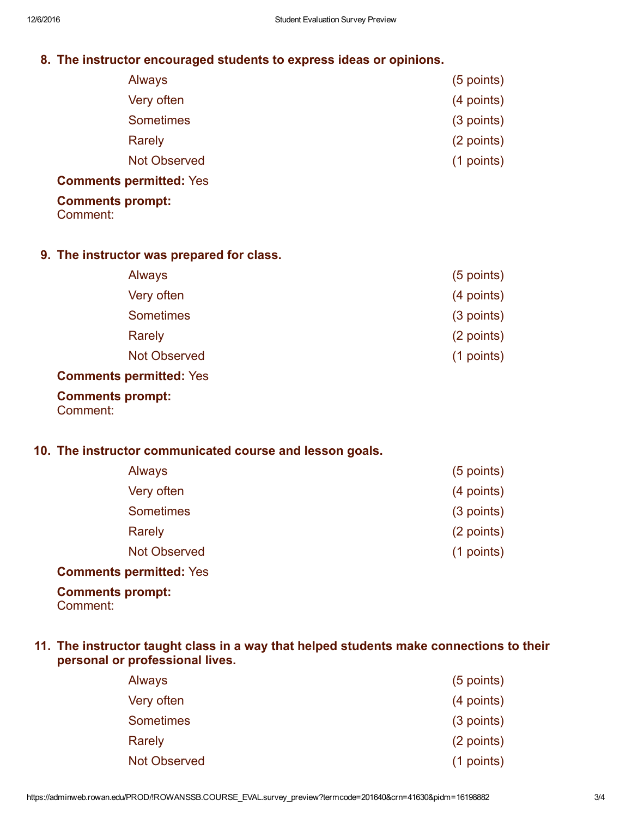## 8. The instructor encouraged students to express ideas or opinions.

| $(5$ points) |
|--------------|
| (4 points)   |
| (3 points)   |
| (2 points)   |
| (1 points)   |
|              |

#### Comments permitted: Yes

### Comments prompt:

Comment:

#### 9. The instructor was prepared for class.

| <b>Always</b>       | $(5$ points) |
|---------------------|--------------|
| Very often          | (4 points)   |
| <b>Sometimes</b>    | $(3$ points) |
| <b>Rarely</b>       | (2 points)   |
| <b>Not Observed</b> | $(1$ points) |
|                     |              |

#### Comments permitted: Yes

### Comments prompt:

Comment:

## 10. The instructor communicated course and lesson goals.

| <b>Always</b>       | $(5$ points) |
|---------------------|--------------|
| Very often          | (4 points)   |
| <b>Sometimes</b>    | $(3$ points) |
| Rarely              | (2 points)   |
| <b>Not Observed</b> | $(1$ points) |
|                     |              |

### Comments permitted: Yes

# Comments prompt:

Comment:

## 11. The instructor taught class in a way that helped students make connections to their personal or professional lives.

| <b>Always</b>       | $(5$ points) |
|---------------------|--------------|
| Very often          | (4 points)   |
| <b>Sometimes</b>    | $(3$ points) |
| Rarely              | (2 points)   |
| <b>Not Observed</b> | $(1$ points) |